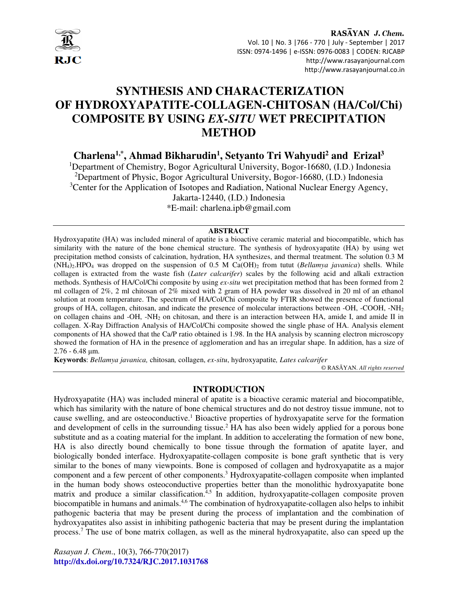

RASAYAN J. Chem. Vol. 10 | No. 3 |766 - 770 | July - September | 2017 ISSN: 0974-1496 | e-ISSN: 0976-0083 | CODEN: RJCABP http://www.rasayanjournal.com http://www.rasayanjournal.co.in

# **SYNTHESIS AND CHARACTERIZATION OF HYDROXYAPATITE-COLLAGEN-CHITOSAN (HA/Col/Chi) COMPOSITE BY USING** *EX-SITU* **WET PRECIPITATION METHOD**

**Charlena1,\*, Ahmad Bikharudin<sup>1</sup> , Setyanto Tri Wahyudi<sup>2</sup> and Erizal<sup>3</sup>**

<sup>1</sup>Department of Chemistry, Bogor Agricultural University, Bogor-16680, (I.D.) Indonesia <sup>2</sup>Department of Physic, Bogor Agricultural University, Bogor-16680, (I.D.) Indonesia <sup>3</sup>Center for the Application of Isotopes and Radiation, National Nuclear Energy Agency, Jakarta-12440, (I.D.) Indonesia

\*E-mail: charlena.ipb@gmail.com

#### **ABSTRACT**

Hydroxyapatite (HA) was included mineral of apatite is a bioactive ceramic material and biocompatible, which has similarity with the nature of the bone chemical structure. The synthesis of hydroxyapatite (HA) by using wet precipitation method consists of calcination, hydration, HA synthesizes, and thermal treatment. The solution 0.3 M  $(NH_4)$ . HPO<sub>4</sub> was dropped on the suspension of 0.5 M Ca(OH)<sub>2</sub> from tutut (*Bellamya javanica*) shells. While collagen is extracted from the waste fish (*Later calcarifer*) scales by the following acid and alkali extraction methods. Synthesis of HA/Col/Chi composite by using *ex-situ* wet precipitation method that has been formed from 2 ml collagen of 2%, 2 ml chitosan of 2% mixed with 2 gram of HA powder was dissolved in 20 ml of an ethanol solution at room temperature. The spectrum of HA/Col/Chi composite by FTIR showed the presence of functional groups of HA, collagen, chitosan, and indicate the presence of molecular interactions between -OH, -COOH, -NH<sup>2</sup> on collagen chains and -OH, -NH<sub>2</sub> on chitosan, and there is an interaction between HA, amide I, and amide II in collagen. X-Ray Diffraction Analysis of HA/Col/Chi composite showed the single phase of HA. Analysis element components of HA showed that the Ca/P ratio obtained is 1.98. In the HA analysis by scanning electron microscopy showed the formation of HA in the presence of agglomeration and has an irregular shape. In addition, has a size of  $2.76 - 6.48$  um.

**Keywords**: *Bellamya javanica,* chitosan*,* collagen, *ex-situ*, hydroxyapatite*, Lates calcarifer*

© RASĀYAN. *All rights reserved*

### **INTRODUCTION**

Hydroxyapatite (HA) was included mineral of apatite is a bioactive ceramic material and biocompatible, which has similarity with the nature of bone chemical structures and do not destroy tissue immune, not to cause swelling, and are osteoconductive.<sup>1</sup> Bioactive properties of hydroxyapatite serve for the formation and development of cells in the surrounding tissue.<sup>2</sup> HA has also been widely applied for a porous bone substitute and as a coating material for the implant. In addition to accelerating the formation of new bone, HA is also directly bound chemically to bone tissue through the formation of apatite layer, and biologically bonded interface. Hydroxyapatite-collagen composite is bone graft synthetic that is very similar to the bones of many viewpoints. Bone is composed of collagen and hydroxyapatite as a major component and a few percent of other components.<sup>3</sup> Hydroxyapatite-collagen composite when implanted in the human body shows osteoconductive properties better than the monolithic hydroxyapatite bone matrix and produce a similar classification.<sup> $4,5$ </sup> In addition, hydroxyapatite-collagen composite proven biocompatible in humans and animals.<sup>4,6</sup> The combination of hydroxyapatite-collagen also helps to inhibit pathogenic bacteria that may be present during the process of implantation and the combination of hydroxyapatites also assist in inhibiting pathogenic bacteria that may be present during the implantation process.<sup>7</sup> The use of bone matrix collagen, as well as the mineral hydroxyapatite, also can speed up the

*Rasayan J. Chem*., 10(3), 766-770(2017) **http://dx.doi.org/10.7324/RJC.2017.1031768**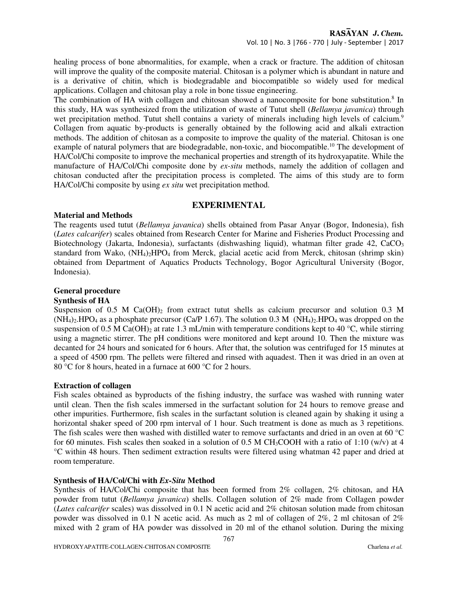healing process of bone abnormalities, for example, when a crack or fracture. The addition of chitosan will improve the quality of the composite material. Chitosan is a polymer which is abundant in nature and is a derivative of chitin, which is biodegradable and biocompatible so widely used for medical applications. Collagen and chitosan play a role in bone tissue engineering.

The combination of HA with collagen and chitosan showed a nanocomposite for bone substitution.<sup>8</sup> In this study, HA was synthesized from the utilization of waste of Tutut shell (*Bellamya javanica*) through wet precipitation method. Tutut shell contains a variety of minerals including high levels of calcium.<sup>9</sup> Collagen from aquatic by-products is generally obtained by the following acid and alkali extraction methods. The addition of chitosan as a composite to improve the quality of the material. Chitosan is one example of natural polymers that are biodegradable, non-toxic, and biocompatible.<sup>10</sup> The development of HA/Col/Chi composite to improve the mechanical properties and strength of its hydroxyapatite. While the manufacture of HA/Col/Chi composite done by *ex-situ* methods, namely the addition of collagen and chitosan conducted after the precipitation process is completed. The aims of this study are to form HA/Col/Chi composite by using *ex situ* wet precipitation method.

#### **EXPERIMENTAL**

#### **Material and Methods**

The reagents used tutut (*Bellamya javanica*) shells obtained from Pasar Anyar (Bogor, Indonesia), fish (*Lates calcarifer*) scales obtained from Research Center for Marine and Fisheries Product Processing and Biotechnology (Jakarta, Indonesia), surfactants (dishwashing liquid), whatman filter grade 42, CaCO<sub>3</sub> standard from Wako, (NH4)2HPO4 from Merck, glacial acetic acid from Merck, chitosan (shrimp skin) obtained from Department of Aquatics Products Technology, Bogor Agricultural University (Bogor, Indonesia).

# **General procedure**

## **Synthesis of HA**

Suspension of 0.5 M Ca(OH)<sub>2</sub> from extract tutut shells as calcium precursor and solution 0.3 M  $(NH_4)_2$ .HPO<sub>4</sub> as a phosphate precursor (Ca/P 1.67). The solution 0.3 M (NH<sub>4</sub>)<sub>2</sub>.HPO<sub>4</sub> was dropped on the suspension of 0.5 M Ca(OH)<sub>2</sub> at rate 1.3 mL/min with temperature conditions kept to 40 °C, while stirring using a magnetic stirrer. The pH conditions were monitored and kept around 10. Then the mixture was decanted for 24 hours and sonicated for 6 hours. After that, the solution was centrifuged for 15 minutes at a speed of 4500 rpm. The pellets were filtered and rinsed with aquadest. Then it was dried in an oven at 80 °C for 8 hours, heated in a furnace at 600 °C for 2 hours.

#### **Extraction of collagen**

Fish scales obtained as byproducts of the fishing industry, the surface was washed with running water until clean. Then the fish scales immersed in the surfactant solution for 24 hours to remove grease and other impurities. Furthermore, fish scales in the surfactant solution is cleaned again by shaking it using a horizontal shaker speed of 200 rpm interval of 1 hour. Such treatment is done as much as 3 repetitions. The fish scales were then washed with distilled water to remove surfactants and dried in an oven at 60 °C for 60 minutes. Fish scales then soaked in a solution of 0.5 M CH<sub>3</sub>COOH with a ratio of 1:10 (w/v) at 4 °C within 48 hours. Then sediment extraction results were filtered using whatman 42 paper and dried at room temperature.

### **Synthesis of HA/Col/Chi with** *Ex-Situ* **Method**

Synthesis of HA/Col/Chi composite that has been formed from 2% collagen, 2% chitosan, and HA powder from tutut (*Bellamya javanica*) shells. Collagen solution of 2% made from Collagen powder (*Lates calcarifer* scales) was dissolved in 0.1 N acetic acid and 2% chitosan solution made from chitosan powder was dissolved in 0.1 N acetic acid. As much as 2 ml of collagen of 2%, 2 ml chitosan of 2% mixed with 2 gram of HA powder was dissolved in 20 ml of the ethanol solution. During the mixing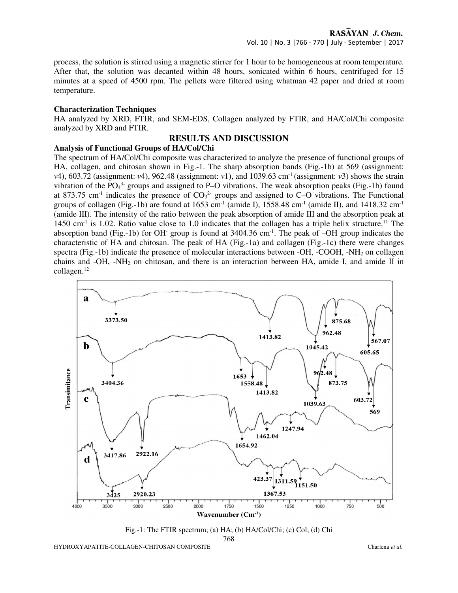process, the solution is stirred using a magnetic stirrer for 1 hour to be homogeneous at room temperature. After that, the solution was decanted within 48 hours, sonicated within 6 hours, centrifuged for 15 minutes at a speed of 4500 rpm. The pellets were filtered using whatman 42 paper and dried at room temperature.

#### **Characterization Techniques**

HA analyzed by XRD, FTIR, and SEM-EDS, Collagen analyzed by FTIR, and HA/Col/Chi composite analyzed by XRD and FTIR.

## **RESULTS AND DISCUSSION**

#### **Analysis of Functional Groups of HA/Col/Chi**

The spectrum of HA/Col/Chi composite was characterized to analyze the presence of functional groups of HA, collagen, and chitosan shown in Fig.-1. The sharp absorption bands (Fig.-1b) at 569 (assignment: *ν*4), 603.72 (assignment: *ν*4), 962.48 (assignment: *ν*1), and 1039.63 cm<sup>-1</sup> (assignment: *ν*3) shows the strain vibration of the  $PO_4^3$  groups and assigned to P–O vibrations. The weak absorption peaks (Fig.-1b) found at 873.75 cm<sup>-1</sup> indicates the presence of  $CO<sub>3</sub><sup>2</sup>$  groups and assigned to C–O vibrations. The Functional groups of collagen (Fig.-1b) are found at  $1653 \text{ cm}^{-1}$  (amide I),  $1558.48 \text{ cm}^{-1}$  (amide II), and  $1418.32 \text{ cm}^{-1}$ (amide III). The intensity of the ratio between the peak absorption of amide III and the absorption peak at 1450 cm<sup>-1</sup> is 1.02. Ratio value close to 1.0 indicates that the collagen has a triple helix structure.<sup>11</sup> The absorption band (Fig.-1b) for OH<sup>-</sup> group is found at  $3404.36 \text{ cm}^{-1}$ . The peak of  $-OH$  group indicates the characteristic of HA and chitosan. The peak of HA (Fig.-1a) and collagen (Fig.-1c) there were changes spectra (Fig.-1b) indicate the presence of molecular interactions between -OH, -COOH, -NH2 on collagen chains and -OH, -NH<sub>2</sub> on chitosan, and there is an interaction between HA, amide I, and amide II in collagen.<sup>12</sup>



Fig.-1: The FTIR spectrum; (a) HA; (b) HA/Col/Chi; (c) Col; (d) Chi

768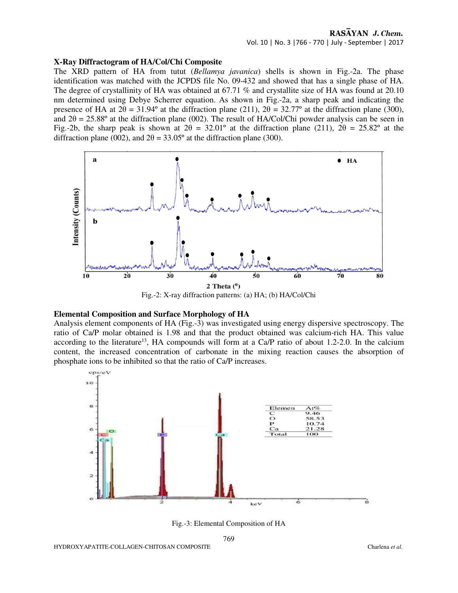#### **X-Ray Diffractogram of HA/Col/Chi Composite**

The XRD pattern of HA from tutut (*Bellamya javanica*) shells is shown in Fig.-2a. The phase identification was matched with the JCPDS file No. 09-432 and showed that has a single phase of HA. The degree of crystallinity of HA was obtained at 67.71 % and crystallite size of HA was found at 20.10 nm determined using Debye Scherrer equation. As shown in Fig.-2a, a sharp peak and indicating the presence of HA at  $2\theta = 31.94^\circ$  at the diffraction plane (211),  $2\theta = 32.77^\circ$  at the diffraction plane (300), and  $2\theta = 25.88^\circ$  at the diffraction plane (002). The result of HA/Col/Chi powder analysis can be seen in Fig.-2b, the sharp peak is shown at  $2\theta = 32.01^{\circ}$  at the diffraction plane (211),  $2\theta = 25.82^{\circ}$  at the diffraction plane (002), and  $2\theta = 33.05^{\circ}$  at the diffraction plane (300).



#### **Elemental Composition and Surface Morphology of HA**

Analysis element components of HA (Fig.-3) was investigated using energy dispersive spectroscopy. The ratio of Ca/P molar obtained is 1.98 and that the product obtained was calcium-rich HA. This value according to the literature<sup>13</sup>, HA compounds will form at a Ca/P ratio of about 1.2-2.0. In the calcium content, the increased concentration of carbonate in the mixing reaction causes the absorption of phosphate ions to be inhibited so that the ratio of Ca/P increases.



Fig.-3: Elemental Composition of HA